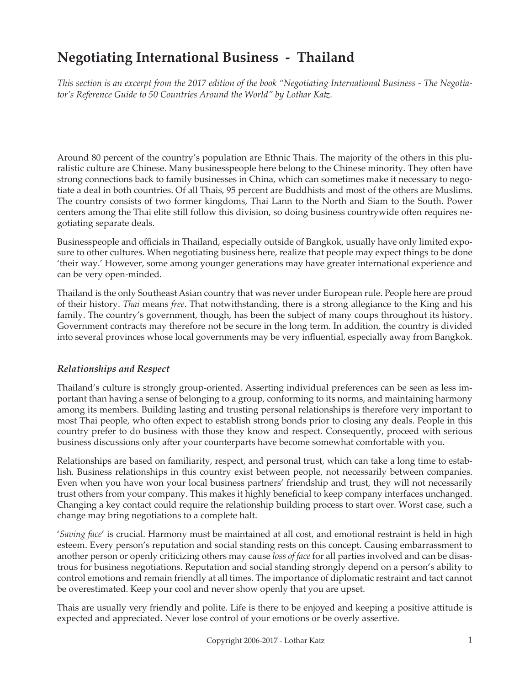# **Negotiating International Business - Thailand**

*This section is an excerpt from the 2017 edition of the book "Negotiating International Business - The Negotiator's Reference Guide to 50 Countries Around the World" by Lothar Katz.*

Around 80 percent of the country's population are Ethnic Thais. The majority of the others in this pluralistic culture are Chinese. Many businesspeople here belong to the Chinese minority. They often have strong connections back to family businesses in China, which can sometimes make it necessary to negotiate a deal in both countries. Of all Thais, 95 percent are Buddhists and most of the others are Muslims. The country consists of two former kingdoms, Thai Lann to the North and Siam to the South. Power centers among the Thai elite still follow this division, so doing business countrywide often requires negotiating separate deals.

Businesspeople and officials in Thailand, especially outside of Bangkok, usually have only limited exposure to other cultures. When negotiating business here, realize that people may expect things to be done 'their way.' However, some among younger generations may have greater international experience and can be very open-minded.

Thailand is the only Southeast Asian country that was never under European rule. People here are proud of their history. *Thai* means *free*. That notwithstanding, there is a strong allegiance to the King and his family. The country's government, though, has been the subject of many coups throughout its history. Government contracts may therefore not be secure in the long term. In addition, the country is divided into several provinces whose local governments may be very influential, especially away from Bangkok.

#### *Relationships and Respect*

Thailand's culture is strongly group-oriented. Asserting individual preferences can be seen as less important than having a sense of belonging to a group, conforming to its norms, and maintaining harmony among its members. Building lasting and trusting personal relationships is therefore very important to most Thai people, who often expect to establish strong bonds prior to closing any deals. People in this country prefer to do business with those they know and respect. Consequently, proceed with serious business discussions only after your counterparts have become somewhat comfortable with you.

Relationships are based on familiarity, respect, and personal trust, which can take a long time to establish. Business relationships in this country exist between people, not necessarily between companies. Even when you have won your local business partners' friendship and trust, they will not necessarily trust others from your company. This makes it highly beneficial to keep company interfaces unchanged. Changing a key contact could require the relationship building process to start over. Worst case, such a change may bring negotiations to a complete halt.

'*Saving face*' is crucial. Harmony must be maintained at all cost, and emotional restraint is held in high esteem. Every person's reputation and social standing rests on this concept. Causing embarrassment to another person or openly criticizing others may cause *loss of face* for all parties involved and can be disastrous for business negotiations. Reputation and social standing strongly depend on a person's ability to control emotions and remain friendly at all times. The importance of diplomatic restraint and tact cannot be overestimated. Keep your cool and never show openly that you are upset.

Thais are usually very friendly and polite. Life is there to be enjoyed and keeping a positive attitude is expected and appreciated. Never lose control of your emotions or be overly assertive.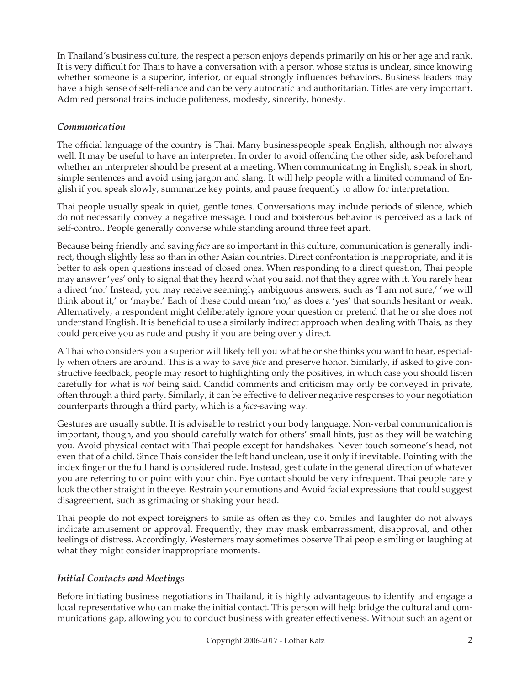In Thailand's business culture, the respect a person enjoys depends primarily on his or her age and rank. It is very difficult for Thais to have a conversation with a person whose status is unclear, since knowing whether someone is a superior, inferior, or equal strongly influences behaviors. Business leaders may have a high sense of self-reliance and can be very autocratic and authoritarian. Titles are very important. Admired personal traits include politeness, modesty, sincerity, honesty.

## *Communication*

The official language of the country is Thai. Many businesspeople speak English, although not always well. It may be useful to have an interpreter. In order to avoid offending the other side, ask beforehand whether an interpreter should be present at a meeting. When communicating in English, speak in short, simple sentences and avoid using jargon and slang. It will help people with a limited command of English if you speak slowly, summarize key points, and pause frequently to allow for interpretation.

Thai people usually speak in quiet, gentle tones. Conversations may include periods of silence, which do not necessarily convey a negative message. Loud and boisterous behavior is perceived as a lack of self-control. People generally converse while standing around three feet apart.

Because being friendly and saving *face* are so important in this culture, communication is generally indirect, though slightly less so than in other Asian countries. Direct confrontation is inappropriate, and it is better to ask open questions instead of closed ones. When responding to a direct question, Thai people may answer 'yes' only to signal that they heard what you said, not that they agree with it. You rarely hear a direct 'no.' Instead, you may receive seemingly ambiguous answers, such as 'I am not sure,' 'we will think about it,' or 'maybe.' Each of these could mean 'no,' as does a 'yes' that sounds hesitant or weak. Alternatively, a respondent might deliberately ignore your question or pretend that he or she does not understand English. It is beneficial to use a similarly indirect approach when dealing with Thais, as they could perceive you as rude and pushy if you are being overly direct.

A Thai who considers you a superior will likely tell you what he or she thinks you want to hear, especially when others are around. This is a way to save *face* and preserve honor. Similarly, if asked to give constructive feedback, people may resort to highlighting only the positives, in which case you should listen carefully for what is *not* being said. Candid comments and criticism may only be conveyed in private, often through a third party. Similarly, it can be effective to deliver negative responses to your negotiation counterparts through a third party, which is a *face*-saving way.

Gestures are usually subtle. It is advisable to restrict your body language. Non-verbal communication is important, though, and you should carefully watch for others' small hints, just as they will be watching you. Avoid physical contact with Thai people except for handshakes. Never touch someone's head, not even that of a child. Since Thais consider the left hand unclean, use it only if inevitable. Pointing with the index finger or the full hand is considered rude. Instead, gesticulate in the general direction of whatever you are referring to or point with your chin. Eye contact should be very infrequent. Thai people rarely look the other straight in the eye. Restrain your emotions and Avoid facial expressions that could suggest disagreement, such as grimacing or shaking your head.

Thai people do not expect foreigners to smile as often as they do. Smiles and laughter do not always indicate amusement or approval. Frequently, they may mask embarrassment, disapproval, and other feelings of distress. Accordingly, Westerners may sometimes observe Thai people smiling or laughing at what they might consider inappropriate moments.

#### *Initial Contacts and Meetings*

Before initiating business negotiations in Thailand, it is highly advantageous to identify and engage a local representative who can make the initial contact. This person will help bridge the cultural and communications gap, allowing you to conduct business with greater effectiveness. Without such an agent or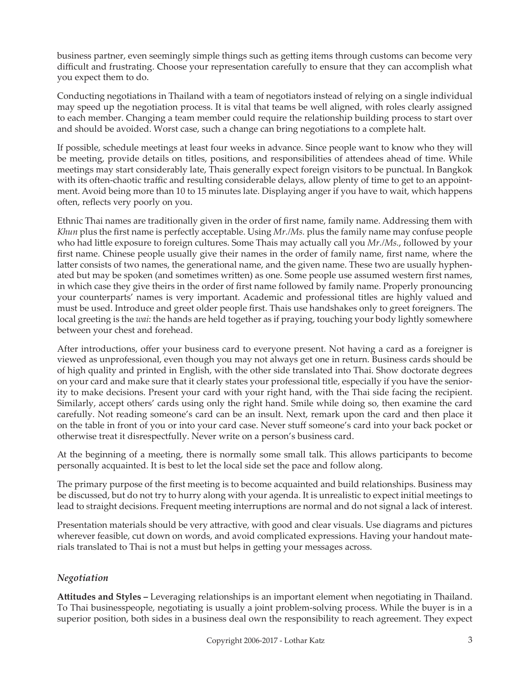business partner, even seemingly simple things such as getting items through customs can become very difficult and frustrating. Choose your representation carefully to ensure that they can accomplish what you expect them to do.

Conducting negotiations in Thailand with a team of negotiators instead of relying on a single individual may speed up the negotiation process. It is vital that teams be well aligned, with roles clearly assigned to each member. Changing a team member could require the relationship building process to start over and should be avoided. Worst case, such a change can bring negotiations to a complete halt.

If possible, schedule meetings at least four weeks in advance. Since people want to know who they will be meeting, provide details on titles, positions, and responsibilities of attendees ahead of time. While meetings may start considerably late, Thais generally expect foreign visitors to be punctual. In Bangkok with its often-chaotic traffic and resulting considerable delays, allow plenty of time to get to an appointment. Avoid being more than 10 to 15 minutes late. Displaying anger if you have to wait, which happens often, reflects very poorly on you.

Ethnic Thai names are traditionally given in the order of first name, family name. Addressing them with *Khun* plus the first name is perfectly acceptable. Using *Mr./Ms.* plus the family name may confuse people who had little exposure to foreign cultures. Some Thais may actually call you *Mr./Ms.*, followed by your first name. Chinese people usually give their names in the order of family name, first name, where the latter consists of two names, the generational name, and the given name. These two are usually hyphenated but may be spoken (and sometimes written) as one. Some people use assumed western first names, in which case they give theirs in the order of first name followed by family name. Properly pronouncing your counterparts' names is very important. Academic and professional titles are highly valued and must be used. Introduce and greet older people first. Thais use handshakes only to greet foreigners. The local greeting is the *wai*: the hands are held together as if praying, touching your body lightly somewhere between your chest and forehead.

After introductions, offer your business card to everyone present. Not having a card as a foreigner is viewed as unprofessional, even though you may not always get one in return. Business cards should be of high quality and printed in English, with the other side translated into Thai. Show doctorate degrees on your card and make sure that it clearly states your professional title, especially if you have the seniority to make decisions. Present your card with your right hand, with the Thai side facing the recipient. Similarly, accept others' cards using only the right hand. Smile while doing so, then examine the card carefully. Not reading someone's card can be an insult. Next, remark upon the card and then place it on the table in front of you or into your card case. Never stuff someone's card into your back pocket or otherwise treat it disrespectfully. Never write on a person's business card.

At the beginning of a meeting, there is normally some small talk. This allows participants to become personally acquainted. It is best to let the local side set the pace and follow along.

The primary purpose of the first meeting is to become acquainted and build relationships. Business may be discussed, but do not try to hurry along with your agenda. It is unrealistic to expect initial meetings to lead to straight decisions. Frequent meeting interruptions are normal and do not signal a lack of interest.

Presentation materials should be very attractive, with good and clear visuals. Use diagrams and pictures wherever feasible, cut down on words, and avoid complicated expressions. Having your handout materials translated to Thai is not a must but helps in getting your messages across.

#### *Negotiation*

**Attitudes and Styles –** Leveraging relationships is an important element when negotiating in Thailand. To Thai businesspeople, negotiating is usually a joint problem-solving process. While the buyer is in a superior position, both sides in a business deal own the responsibility to reach agreement. They expect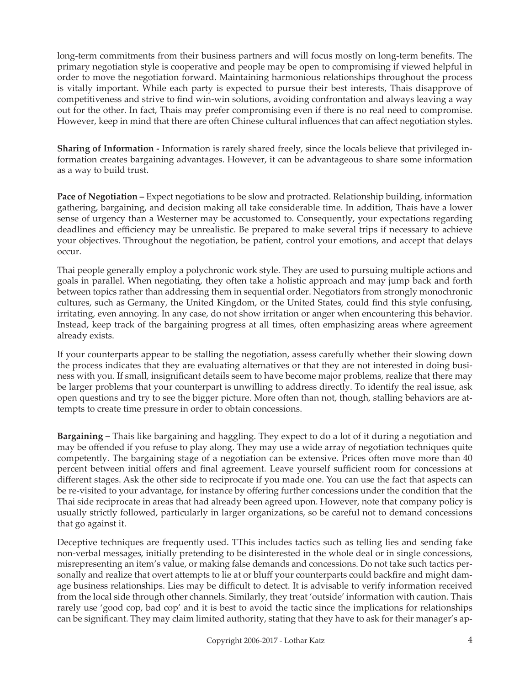long-term commitments from their business partners and will focus mostly on long-term benefits. The primary negotiation style is cooperative and people may be open to compromising if viewed helpful in order to move the negotiation forward. Maintaining harmonious relationships throughout the process is vitally important. While each party is expected to pursue their best interests, Thais disapprove of competitiveness and strive to find win-win solutions, avoiding confrontation and always leaving a way out for the other. In fact, Thais may prefer compromising even if there is no real need to compromise. However, keep in mind that there are often Chinese cultural influences that can affect negotiation styles.

**Sharing of Information -** Information is rarely shared freely, since the locals believe that privileged information creates bargaining advantages. However, it can be advantageous to share some information as a way to build trust.

**Pace of Negotiation –** Expect negotiations to be slow and protracted. Relationship building, information gathering, bargaining, and decision making all take considerable time. In addition, Thais have a lower sense of urgency than a Westerner may be accustomed to. Consequently, your expectations regarding deadlines and efficiency may be unrealistic. Be prepared to make several trips if necessary to achieve your objectives. Throughout the negotiation, be patient, control your emotions, and accept that delays occur.

Thai people generally employ a polychronic work style. They are used to pursuing multiple actions and goals in parallel. When negotiating, they often take a holistic approach and may jump back and forth between topics rather than addressing them in sequential order. Negotiators from strongly monochronic cultures, such as Germany, the United Kingdom, or the United States, could find this style confusing, irritating, even annoying. In any case, do not show irritation or anger when encountering this behavior. Instead, keep track of the bargaining progress at all times, often emphasizing areas where agreement already exists.

If your counterparts appear to be stalling the negotiation, assess carefully whether their slowing down the process indicates that they are evaluating alternatives or that they are not interested in doing business with you. If small, insignificant details seem to have become major problems, realize that there may be larger problems that your counterpart is unwilling to address directly. To identify the real issue, ask open questions and try to see the bigger picture. More often than not, though, stalling behaviors are attempts to create time pressure in order to obtain concessions.

**Bargaining –** Thais like bargaining and haggling. They expect to do a lot of it during a negotiation and may be offended if you refuse to play along. They may use a wide array of negotiation techniques quite competently. The bargaining stage of a negotiation can be extensive. Prices often move more than 40 percent between initial offers and final agreement. Leave yourself sufficient room for concessions at different stages. Ask the other side to reciprocate if you made one. You can use the fact that aspects can be re-visited to your advantage, for instance by offering further concessions under the condition that the Thai side reciprocate in areas that had already been agreed upon. However, note that company policy is usually strictly followed, particularly in larger organizations, so be careful not to demand concessions that go against it.

Deceptive techniques are frequently used. TThis includes tactics such as telling lies and sending fake non-verbal messages, initially pretending to be disinterested in the whole deal or in single concessions, misrepresenting an item's value, or making false demands and concessions. Do not take such tactics personally and realize that overt attempts to lie at or bluff your counterparts could backfire and might damage business relationships. Lies may be difficult to detect. It is advisable to verify information received from the local side through other channels. Similarly, they treat 'outside' information with caution. Thais rarely use 'good cop, bad cop' and it is best to avoid the tactic since the implications for relationships can be significant. They may claim limited authority, stating that they have to ask for their manager's ap-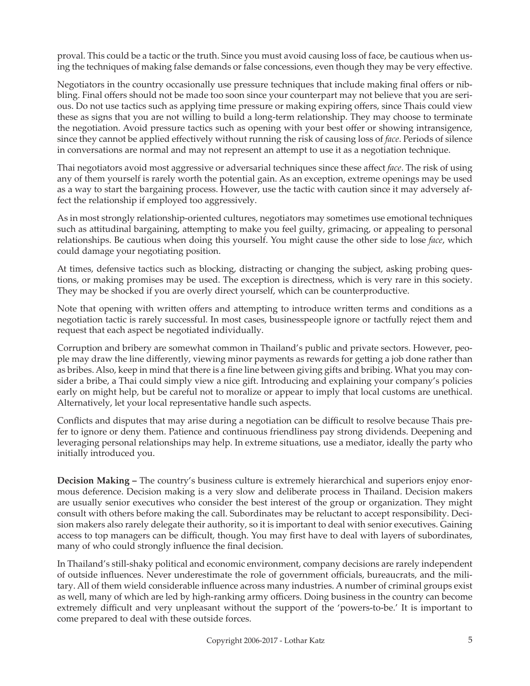proval. This could be a tactic or the truth. Since you must avoid causing loss of face, be cautious when using the techniques of making false demands or false concessions, even though they may be very effective.

Negotiators in the country occasionally use pressure techniques that include making final offers or nibbling. Final offers should not be made too soon since your counterpart may not believe that you are serious. Do not use tactics such as applying time pressure or making expiring offers, since Thais could view these as signs that you are not willing to build a long-term relationship. They may choose to terminate the negotiation. Avoid pressure tactics such as opening with your best offer or showing intransigence, since they cannot be applied effectively without running the risk of causing loss of *face*. Periods of silence in conversations are normal and may not represent an attempt to use it as a negotiation technique.

Thai negotiators avoid most aggressive or adversarial techniques since these affect *face*. The risk of using any of them yourself is rarely worth the potential gain. As an exception, extreme openings may be used as a way to start the bargaining process. However, use the tactic with caution since it may adversely affect the relationship if employed too aggressively.

As in most strongly relationship-oriented cultures, negotiators may sometimes use emotional techniques such as attitudinal bargaining, attempting to make you feel guilty, grimacing, or appealing to personal relationships. Be cautious when doing this yourself. You might cause the other side to lose *face*, which could damage your negotiating position.

At times, defensive tactics such as blocking, distracting or changing the subject, asking probing questions, or making promises may be used. The exception is directness, which is very rare in this society. They may be shocked if you are overly direct yourself, which can be counterproductive.

Note that opening with written offers and attempting to introduce written terms and conditions as a negotiation tactic is rarely successful. In most cases, businesspeople ignore or tactfully reject them and request that each aspect be negotiated individually.

Corruption and bribery are somewhat common in Thailand's public and private sectors. However, people may draw the line differently, viewing minor payments as rewards for getting a job done rather than as bribes. Also, keep in mind that there is a fine line between giving gifts and bribing. What you may consider a bribe, a Thai could simply view a nice gift. Introducing and explaining your company's policies early on might help, but be careful not to moralize or appear to imply that local customs are unethical. Alternatively, let your local representative handle such aspects.

Conflicts and disputes that may arise during a negotiation can be difficult to resolve because Thais prefer to ignore or deny them. Patience and continuous friendliness pay strong dividends. Deepening and leveraging personal relationships may help. In extreme situations, use a mediator, ideally the party who initially introduced you.

**Decision Making –** The country's business culture is extremely hierarchical and superiors enjoy enormous deference. Decision making is a very slow and deliberate process in Thailand. Decision makers are usually senior executives who consider the best interest of the group or organization. They might consult with others before making the call. Subordinates may be reluctant to accept responsibility. Decision makers also rarely delegate their authority, so it is important to deal with senior executives. Gaining access to top managers can be difficult, though. You may first have to deal with layers of subordinates, many of who could strongly influence the final decision.

In Thailand's still-shaky political and economic environment, company decisions are rarely independent of outside influences. Never underestimate the role of government officials, bureaucrats, and the military. All of them wield considerable influence across many industries. A number of criminal groups exist as well, many of which are led by high-ranking army officers. Doing business in the country can become extremely difficult and very unpleasant without the support of the 'powers-to-be.' It is important to come prepared to deal with these outside forces.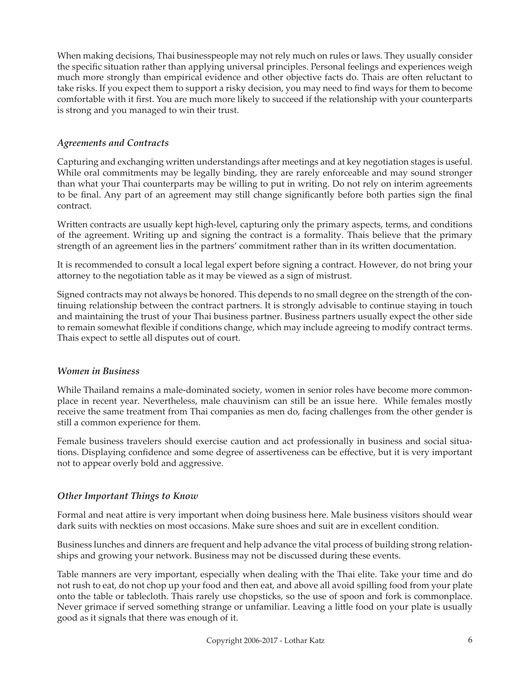When making decisions, Thai businesspeople may not rely much on rules or laws. They usually consider the specific situation rather than applying universal principles. Personal feelings and experiences weigh much more strongly than empirical evidence and other objective facts do. Thais are often reluctant to take risks. If you expect them to support a risky decision, you may need to find ways for them to become comfortable with it first. You are much more likely to succeed if the relationship with your counterparts is strong and you managed to win their trust.

### *Agreements and Contracts*

Capturing and exchanging written understandings after meetings and at key negotiation stages is useful. While oral commitments may be legally binding, they are rarely enforceable and may sound stronger than what your Thai counterparts may be willing to put in writing. Do not rely on interim agreements to be final. Any part of an agreement may still change significantly before both parties sign the final contract.

Written contracts are usually kept high-level, capturing only the primary aspects, terms, and conditions of the agreement. Writing up and signing the contract is a formality. Thais believe that the primary strength of an agreement lies in the partners' commitment rather than in its written documentation.

It is recommended to consult a local legal expert before signing a contract. However, do not bring your attorney to the negotiation table as it may be viewed as a sign of mistrust.

Signed contracts may not always be honored. This depends to no small degree on the strength of the continuing relationship between the contract partners. It is strongly advisable to continue staying in touch and maintaining the trust of your Thai business partner. Business partners usually expect the other side to remain somewhat flexible if conditions change, which may include agreeing to modify contract terms. Thais expect to settle all disputes out of court.

#### *Women in Business*

While Thailand remains a male-dominated society, women in senior roles have become more commonplace in recent year. Nevertheless, male chauvinism can still be an issue here. While females mostly receive the same treatment from Thai companies as men do, facing challenges from the other gender is still a common experience for them.

Female business travelers should exercise caution and act professionally in business and social situations. Displaying confidence and some degree of assertiveness can be effective, but it is very important not to appear overly bold and aggressive.

#### *Other Important Things to Know*

Formal and neat attire is very important when doing business here. Male business visitors should wear dark suits with neckties on most occasions. Make sure shoes and suit are in excellent condition.

Business lunches and dinners are frequent and help advance the vital process of building strong relationships and growing your network. Business may not be discussed during these events.

Table manners are very important, especially when dealing with the Thai elite. Take your time and do not rush to eat, do not chop up your food and then eat, and above all avoid spilling food from your plate onto the table or tablecloth. Thais rarely use chopsticks, so the use of spoon and fork is commonplace. Never grimace if served something strange or unfamiliar. Leaving a little food on your plate is usually good as it signals that there was enough of it.